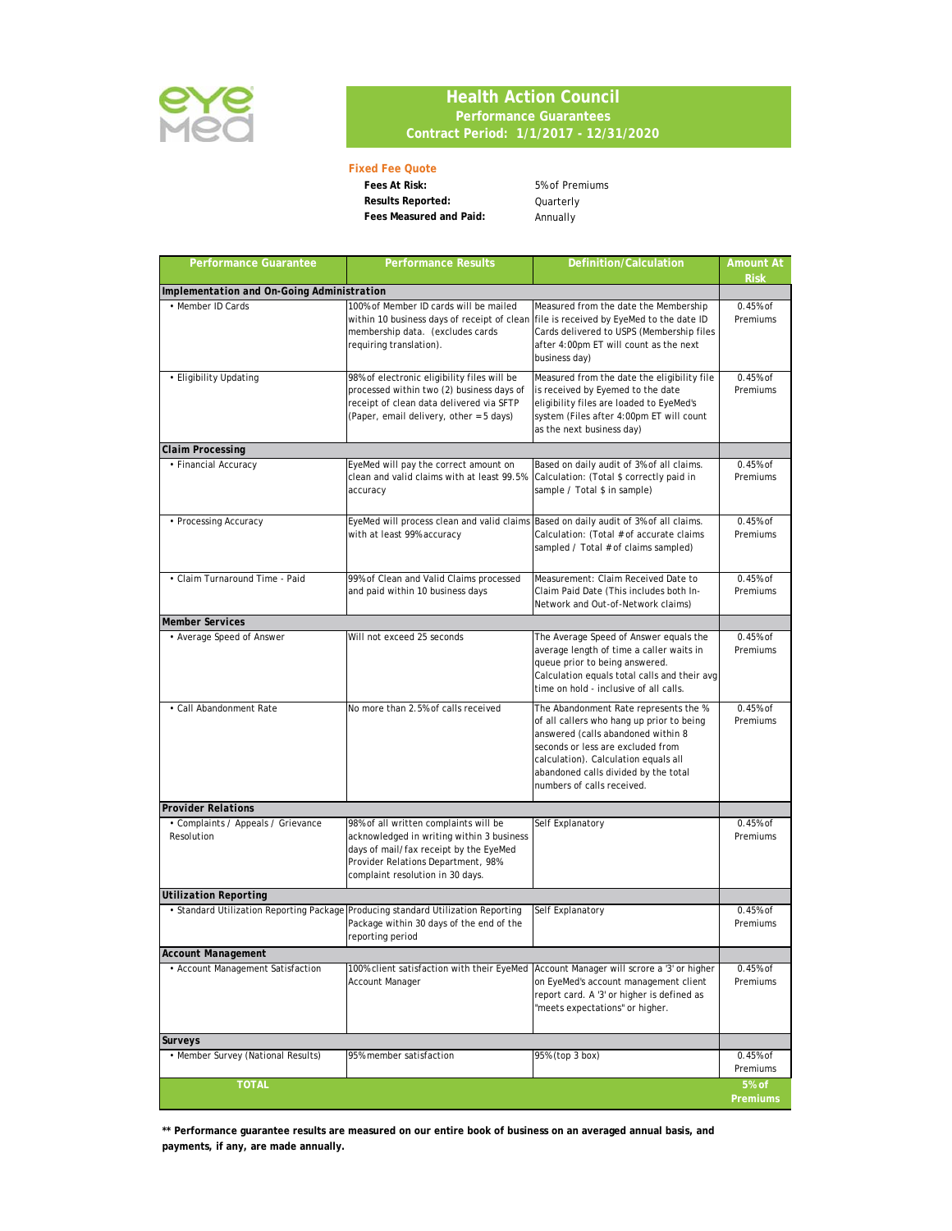

## **Health Action Council Performance Guarantees Contract Period: 1/1/2017 - 12/31/2020**

## **Fixed Fee Quote**

Fees At Risk: 5% of Premiums **Results Reported:** Quarterly **Fees Measured and Paid:** Annually

| <b>Performance Guarantee</b>                     | <b>Performance Results</b>                                                                                                                                                                             | Definition/Calculation                                                                                                                                                                                                                                                      | <b>Amount At</b><br><b>Risk</b> |
|--------------------------------------------------|--------------------------------------------------------------------------------------------------------------------------------------------------------------------------------------------------------|-----------------------------------------------------------------------------------------------------------------------------------------------------------------------------------------------------------------------------------------------------------------------------|---------------------------------|
| Implementation and On-Going Administration       |                                                                                                                                                                                                        |                                                                                                                                                                                                                                                                             |                                 |
| • Member ID Cards                                | 100% of Member ID cards will be mailed<br>within 10 business days of receipt of clean<br>membership data. (excludes cards<br>requiring translation).                                                   | Measured from the date the Membership<br>file is received by EyeMed to the date ID<br>Cards delivered to USPS (Membership files<br>after 4:00pm ET will count as the next<br>business day)                                                                                  | $0.45%$ of<br>Premiums          |
| • Eligibility Updating                           | 98% of electronic eligibility files will be<br>processed within two (2) business days of<br>receipt of clean data delivered via SFTP<br>(Paper, email delivery, other = 5 days)                        | Measured from the date the eligibility file<br>is received by Eyemed to the date<br>eligibility files are loaded to EyeMed's<br>system (Files after 4:00pm ET will count<br>as the next business day)                                                                       | $0.45%$ of<br>Premiums          |
| <b>Claim Processing</b>                          |                                                                                                                                                                                                        |                                                                                                                                                                                                                                                                             |                                 |
| • Financial Accuracy                             | EyeMed will pay the correct amount on<br>clean and valid claims with at least 99.5%<br>accuracy                                                                                                        | Based on daily audit of 3% of all claims.<br>Calculation: (Total \$ correctly paid in<br>sample / Total \$ in sample)                                                                                                                                                       | $0.45%$ of<br>Premiums          |
| • Processing Accuracy                            | EyeMed will process clean and valid claims<br>with at least 99% accuracy                                                                                                                               | Based on daily audit of 3% of all claims.<br>Calculation: (Total # of accurate claims<br>sampled / Total # of claims sampled)                                                                                                                                               | $0.45%$ of<br>Premiums          |
| • Claim Turnaround Time - Paid                   | 99% of Clean and Valid Claims processed<br>and paid within 10 business days                                                                                                                            | Measurement: Claim Received Date to<br>Claim Paid Date (This includes both In-<br>Network and Out-of-Network claims)                                                                                                                                                        | $0.45%$ of<br>Premiums          |
| <b>Member Services</b>                           |                                                                                                                                                                                                        |                                                                                                                                                                                                                                                                             |                                 |
| • Average Speed of Answer                        | Will not exceed 25 seconds                                                                                                                                                                             | The Average Speed of Answer equals the<br>average length of time a caller waits in<br>queue prior to being answered.<br>Calculation equals total calls and their avg<br>time on hold - inclusive of all calls.                                                              | $0.45%$ of<br>Premiums          |
| • Call Abandonment Rate                          | No more than 2.5% of calls received                                                                                                                                                                    | The Abandonment Rate represents the %<br>of all callers who hang up prior to being<br>answered (calls abandoned within 8<br>seconds or less are excluded from<br>calculation). Calculation equals all<br>abandoned calls divided by the total<br>numbers of calls received. | $0.45%$ of<br>Premiums          |
| <b>Provider Relations</b>                        |                                                                                                                                                                                                        |                                                                                                                                                                                                                                                                             |                                 |
| • Complaints / Appeals / Grievance<br>Resolution | 98% of all written complaints will be<br>acknowledged in writing within 3 business<br>days of mail/fax receipt by the EyeMed<br>Provider Relations Department, 98%<br>complaint resolution in 30 days. | Self Explanatory                                                                                                                                                                                                                                                            | $0.45%$ of<br>Premiums          |
| <b>Utilization Reporting</b>                     |                                                                                                                                                                                                        |                                                                                                                                                                                                                                                                             |                                 |
| • Standard Utilization Reporting Package         | Producing standard Utilization Reporting<br>Package within 30 days of the end of the<br>reporting period                                                                                               | Self Explanatory                                                                                                                                                                                                                                                            | 0.45% of<br>Premiums            |
| Account Management                               |                                                                                                                                                                                                        |                                                                                                                                                                                                                                                                             |                                 |
| • Account Management Satisfaction                | 100% client satisfaction with their EyeMed<br>Account Manager                                                                                                                                          | Account Manager will scrore a '3' or higher<br>on EyeMed's account management client<br>report card. A '3' or higher is defined as<br>'meets expectations" or higher.                                                                                                       | 0.45% of<br>Premiums            |
| Surveys                                          |                                                                                                                                                                                                        |                                                                                                                                                                                                                                                                             |                                 |
| • Member Survey (National Results)               | 95% member satisfaction                                                                                                                                                                                | 95% (top 3 box)                                                                                                                                                                                                                                                             | 0.45% of<br>Premiums            |
| <b>TOTAL</b>                                     |                                                                                                                                                                                                        |                                                                                                                                                                                                                                                                             | 5% of<br>Premiums               |

**\*\* Performance guarantee results are measured on our entire book of business on an averaged annual basis, and payments, if any, are made annually.**